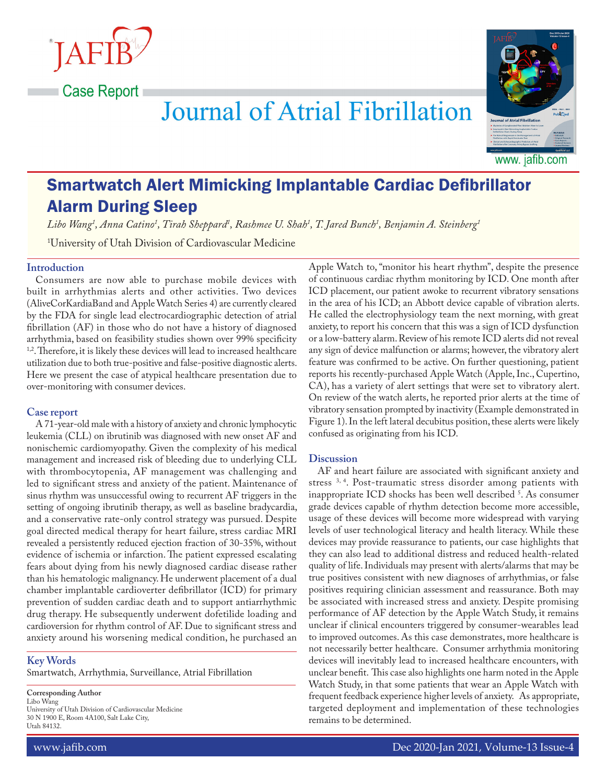**Case Report** 



# **Journal of Atrial Fibrillation**

# Smartwatch Alert Mimicking Implantable Cardiac Defibrillator Alarm During Sleep

*Libo Wang1 , Anna Catino1 , Tirah Sheppard1 , Rashmee U. Shah1 , T. Jared Bunch1 , Benjamin A. Steinberg1*

1 University of Utah Division of Cardiovascular Medicine

## **Introduction**

Consumers are now able to purchase mobile devices with built in arrhythmias alerts and other activities. Two devices (AliveCorKardiaBand and Apple Watch Series 4) are currently cleared by the FDA for single lead electrocardiographic detection of atrial fibrillation (AF) in those who do not have a history of diagnosed arrhythmia, based on feasibility studies shown over 99% specificity <sup>1,2</sup>. Therefore, it is likely these devices will lead to increased healthcare utilization due to both true-positive and false-positive diagnostic alerts. Here we present the case of atypical healthcare presentation due to over-monitoring with consumer devices.

## **Case report**

A 71-year-old male with a history of anxiety and chronic lymphocytic leukemia (CLL) on ibrutinib was diagnosed with new onset AF and nonischemic cardiomyopathy. Given the complexity of his medical management and increased risk of bleeding due to underlying CLL with thrombocytopenia, AF management was challenging and led to significant stress and anxiety of the patient. Maintenance of sinus rhythm was unsuccessful owing to recurrent AF triggers in the setting of ongoing ibrutinib therapy, as well as baseline bradycardia, and a conservative rate-only control strategy was pursued. Despite goal directed medical therapy for heart failure, stress cardiac MRI revealed a persistently reduced ejection fraction of 30-35%, without evidence of ischemia or infarction. The patient expressed escalating fears about dying from his newly diagnosed cardiac disease rather than his hematologic malignancy. He underwent placement of a dual chamber implantable cardioverter defibrillator (ICD) for primary prevention of sudden cardiac death and to support antiarrhythmic drug therapy. He subsequently underwent dofetilide loading and cardioversion for rhythm control of AF. Due to significant stress and anxiety around his worsening medical condition, he purchased an

# **Key Words**

Smartwatch, Arrhythmia, Surveillance, Atrial Fibrillation

**Corresponding Author** Libo Wang University of Utah Division of Cardiovascular Medicine 30 N 1900 E, Room 4A100, Salt Lake City, Utah 84132.

Apple Watch to, "monitor his heart rhythm", despite the presence of continuous cardiac rhythm monitoring by ICD. One month after ICD placement, our patient awoke to recurrent vibratory sensations in the area of his ICD; an Abbott device capable of vibration alerts. He called the electrophysiology team the next morning, with great anxiety, to report his concern that this was a sign of ICD dysfunction or a low-battery alarm. Review of his remote ICD alerts did not reveal any sign of device malfunction or alarms; however, the vibratory alert feature was confirmed to be active. On further questioning, patient reports his recently-purchased Apple Watch (Apple, Inc., Cupertino, CA), has a variety of alert settings that were set to vibratory alert. On review of the watch alerts, he reported prior alerts at the time of vibratory sensation prompted by inactivity (Example demonstrated in Figure 1). In the left lateral decubitus position, these alerts were likely confused as originating from his ICD.

## **Discussion**

AF and heart failure are associated with significant anxiety and stress<sup>3, 4</sup>. Post-traumatic stress disorder among patients with inappropriate ICD shocks has been well described 5 . As consumer grade devices capable of rhythm detection become more accessible, usage of these devices will become more widespread with varying levels of user technological literacy and health literacy. While these devices may provide reassurance to patients, our case highlights that they can also lead to additional distress and reduced health-related quality of life. Individuals may present with alerts/alarms that may be true positives consistent with new diagnoses of arrhythmias, or false positives requiring clinician assessment and reassurance. Both may be associated with increased stress and anxiety. Despite promising performance of AF detection by the Apple Watch Study, it remains unclear if clinical encounters triggered by consumer-wearables lead to improved outcomes. As this case demonstrates, more healthcare is not necessarily better healthcare. Consumer arrhythmia monitoring devices will inevitably lead to increased healthcare encounters, with unclear benefit. This case also highlights one harm noted in the Apple Watch Study, in that some patients that wear an Apple Watch with frequent feedback experience higher levels of anxiety. As appropriate, targeted deployment and implementation of these technologies remains to be determined.